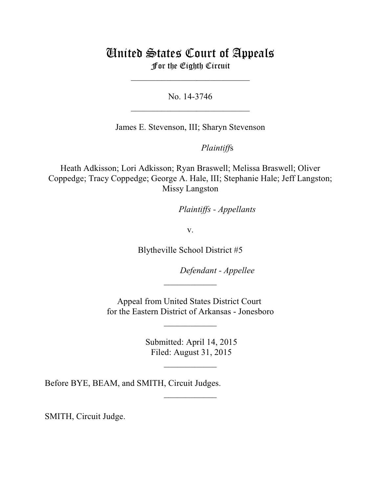# United States Court of Appeals For the Eighth Circuit

\_\_\_\_\_\_\_\_\_\_\_\_\_\_\_\_\_\_\_\_\_\_\_\_\_\_\_

No. 14-3746  $\mathcal{L}_\text{max}$  , which is a set of the set of the set of the set of the set of the set of the set of the set of the set of the set of the set of the set of the set of the set of the set of the set of the set of the set of

James E. Stevenson, III; Sharyn Stevenson

*Plaintiffs* 

Heath Adkisson; Lori Adkisson; Ryan Braswell; Melissa Braswell; Oliver Coppedge; Tracy Coppedge; George A. Hale, III; Stephanie Hale; Jeff Langston; Missy Langston

*Plaintiffs - Appellants* 

v.

Blytheville School District #5

Defendant - Appellee

Appeal from United States District Court for the Eastern District of Arkansas - Jonesboro

 $\overline{\phantom{a}}$  , where  $\overline{\phantom{a}}$ 

 $\frac{1}{2}$ 

 Submitted: April 14, 2015 Filed: August 31, 2015

 $\frac{1}{2}$ 

 $\overline{\phantom{a}}$  , where  $\overline{\phantom{a}}$ 

Before BYE, BEAM, and SMITH, Circuit Judges.

SMITH, Circuit Judge.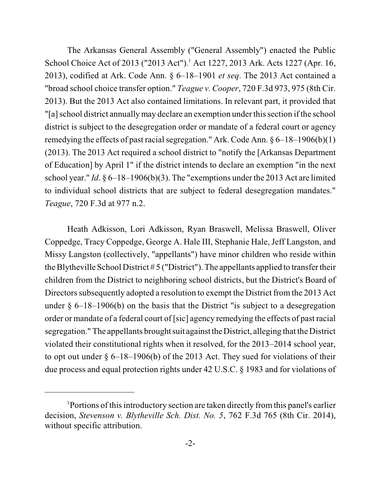The Arkansas General Assembly ("General Assembly") enacted the Public School Choice Act of 2013 ("2013 Act").<sup>1</sup> Act 1227, 2013 Ark. Acts 1227 (Apr. 16, 2013), codified at Ark. Code Ann. § 6–18–1901 *et seq*. The 2013 Act contained a "broad school choice transfer option." *Teague v. Cooper*, 720 F.3d 973, 975 (8th Cir. 2013). But the 2013 Act also contained limitations. In relevant part, it provided that "[a] school district annually may declare an exemption under this section if the school district is subject to the desegregation order or mandate of a federal court or agency remedying the effects of past racial segregation." Ark. Code Ann.  $\S 6-18-1906(b)(1)$ (2013). The 2013 Act required a school district to "notify the [Arkansas Department of Education] by April 1" if the district intends to declare an exemption "in the next school year." *Id*. § 6–18–1906(b)(3). The "exemptions under the 2013 Act are limited to individual school districts that are subject to federal desegregation mandates." *Teague*, 720 F.3d at 977 n.2.

Heath Adkisson, Lori Adkisson, Ryan Braswell, Melissa Braswell, Oliver Coppedge, Tracy Coppedge, George A. Hale III, Stephanie Hale, Jeff Langston, and Missy Langston (collectively, "appellants") have minor children who reside within the Blytheville School District # 5 ("District"). The appellants applied to transfer their children from the District to neighboring school districts, but the District's Board of Directors subsequently adopted a resolution to exempt the District from the 2013 Act under  $\S$  6–18–1906(b) on the basis that the District "is subject to a desegregation order or mandate of a federal court of [sic] agency remedying the effects of past racial segregation." The appellants brought suit against the District, alleging that the District violated their constitutional rights when it resolved, for the 2013–2014 school year, to opt out under § 6–18–1906(b) of the 2013 Act. They sued for violations of their due process and equal protection rights under 42 U.S.C. § 1983 and for violations of

 $P$  Portions of this introductory section are taken directly from this panel's earlier decision, *Stevenson v. Blytheville Sch. Dist. No. 5*, 762 F.3d 765 (8th Cir. 2014), without specific attribution.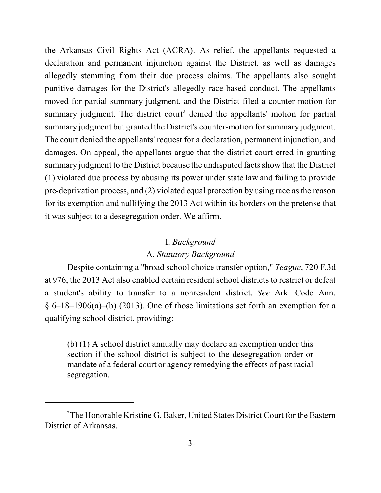the Arkansas Civil Rights Act (ACRA). As relief, the appellants requested a declaration and permanent injunction against the District, as well as damages allegedly stemming from their due process claims. The appellants also sought punitive damages for the District's allegedly race-based conduct. The appellants moved for partial summary judgment, and the District filed a counter-motion for summary judgment. The district court<sup>2</sup> denied the appellants' motion for partial summary judgment but granted the District's counter-motion for summary judgment. The court denied the appellants' request for a declaration, permanent injunction, and damages. On appeal, the appellants argue that the district court erred in granting summary judgment to the District because the undisputed facts show that the District (1) violated due process by abusing its power under state law and failing to provide pre-deprivation process, and (2) violated equal protection by using race asthe reason for its exemption and nullifying the 2013 Act within its borders on the pretense that it was subject to a desegregation order. We affirm.

#### I. *Background*

## A. *Statutory Background*

Despite containing a "broad school choice transfer option," *Teague*, 720 F.3d at 976, the 2013 Act also enabled certain resident school districts to restrict or defeat a student's ability to transfer to a nonresident district. *See* Ark. Code Ann.  $§ 6-18-1906(a)$  (2013). One of those limitations set forth an exemption for a qualifying school district, providing:

(b) (1) A school district annually may declare an exemption under this section if the school district is subject to the desegregation order or mandate of a federal court or agency remedying the effects of past racial segregation.

<sup>&</sup>lt;sup>2</sup>The Honorable Kristine G. Baker, United States District Court for the Eastern District of Arkansas.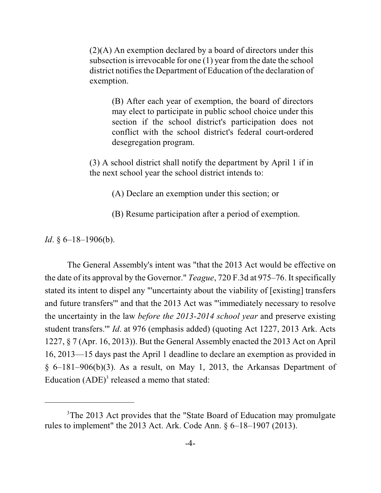(2)(A) An exemption declared by a board of directors under this subsection is irrevocable for one  $(1)$  year from the date the school district notifies the Department of Education of the declaration of exemption.

(B) After each year of exemption, the board of directors may elect to participate in public school choice under this section if the school district's participation does not conflict with the school district's federal court-ordered desegregation program.

(3) A school district shall notify the department by April 1 if in the next school year the school district intends to:

(A) Declare an exemption under this section; or

(B) Resume participation after a period of exemption.

*Id*. § 6–18–1906(b).

The General Assembly's intent was "that the 2013 Act would be effective on the date of its approval by the Governor." *Teague*, 720 F.3d at 975–76. It specifically stated its intent to dispel any "'uncertainty about the viability of [existing] transfers and future transfers'" and that the 2013 Act was "'immediately necessary to resolve the uncertainty in the law *before the 2013-2014 school year* and preserve existing student transfers.'" *Id*. at 976 (emphasis added) (quoting Act 1227, 2013 Ark. Acts 1227, § 7 (Apr. 16, 2013)). But the General Assembly enacted the 2013 Act on April 16, 2013—15 days past the April 1 deadline to declare an exemption as provided in  $§ 6-181-906(b)(3)$ . As a result, on May 1, 2013, the Arkansas Department of Education  $(ADE)^3$  released a memo that stated:

<sup>&</sup>lt;sup>3</sup>The 2013 Act provides that the "State Board of Education may promulgate rules to implement" the 2013 Act. Ark. Code Ann. § 6–18–1907 (2013).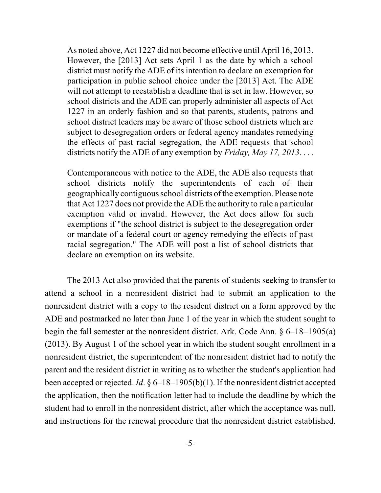As noted above, Act 1227 did not become effective until April 16, 2013. However, the [2013] Act sets April 1 as the date by which a school district must notify the ADE of its intention to declare an exemption for participation in public school choice under the [2013] Act. The ADE will not attempt to reestablish a deadline that is set in law. However, so school districts and the ADE can properly administer all aspects of Act 1227 in an orderly fashion and so that parents, students, patrons and school district leaders may be aware of those school districts which are subject to desegregation orders or federal agency mandates remedying the effects of past racial segregation, the ADE requests that school districts notify the ADE of any exemption by *Friday, May 17, 2013*. . . .

Contemporaneous with notice to the ADE, the ADE also requests that school districts notify the superintendents of each of their geographically contiguousschool districts ofthe exemption. Please note that Act 1227 does not provide the ADE the authority to rule a particular exemption valid or invalid. However, the Act does allow for such exemptions if "the school district is subject to the desegregation order or mandate of a federal court or agency remedying the effects of past racial segregation." The ADE will post a list of school districts that declare an exemption on its website.

The 2013 Act also provided that the parents of students seeking to transfer to attend a school in a nonresident district had to submit an application to the nonresident district with a copy to the resident district on a form approved by the ADE and postmarked no later than June 1 of the year in which the student sought to begin the fall semester at the nonresident district. Ark. Code Ann. § 6–18–1905(a) (2013). By August 1 of the school year in which the student sought enrollment in a nonresident district, the superintendent of the nonresident district had to notify the parent and the resident district in writing as to whether the student's application had been accepted or rejected. *Id*. § 6–18–1905(b)(1). If the nonresident district accepted the application, then the notification letter had to include the deadline by which the student had to enroll in the nonresident district, after which the acceptance was null, and instructions for the renewal procedure that the nonresident district established.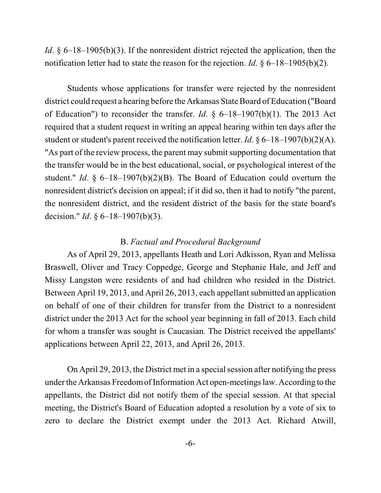*Id*. § 6–18–1905(b)(3). If the nonresident district rejected the application, then the notification letter had to state the reason for the rejection. *Id*. § 6–18–1905(b)(2).

Students whose applications for transfer were rejected by the nonresident district could request a hearing before the Arkansas State Board of Education ("Board of Education") to reconsider the transfer. *Id*. § 6–18–1907(b)(1). The 2013 Act required that a student request in writing an appeal hearing within ten days after the student or student's parent received the notification letter. *Id*. § 6–18–1907(b)(2)(A). "As part of the review process, the parent may submit supporting documentation that the transfer would be in the best educational, social, or psychological interest of the student." *Id*. § 6–18–1907(b)(2)(B). The Board of Education could overturn the nonresident district's decision on appeal; if it did so, then it had to notify "the parent, the nonresident district, and the resident district of the basis for the state board's decision." *Id*. § 6–18–1907(b)(3).

### B. *Factual and Procedural Background*

As of April 29, 2013, appellants Heath and Lori Adkisson, Ryan and Melissa Braswell, Oliver and Tracy Coppedge, George and Stephanie Hale, and Jeff and Missy Langston were residents of and had children who resided in the District. Between April 19, 2013, and April 26, 2013, each appellant submitted an application on behalf of one of their children for transfer from the District to a nonresident district under the 2013 Act for the school year beginning in fall of 2013. Each child for whom a transfer was sought is Caucasian. The District received the appellants' applications between April 22, 2013, and April 26, 2013.

On April 29, 2013, the District met in a special session after notifying the press under the Arkansas FreedomofInformation Act open-meetingslaw. According to the appellants, the District did not notify them of the special session. At that special meeting, the District's Board of Education adopted a resolution by a vote of six to zero to declare the District exempt under the 2013 Act. Richard Atwill,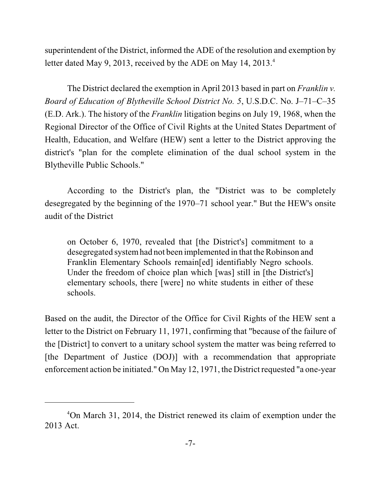superintendent of the District, informed the ADE of the resolution and exemption by letter dated May 9, 2013, received by the ADE on May 14, 2013.<sup>4</sup>

The District declared the exemption in April 2013 based in part on *Franklin v. Board of Education of Blytheville School District No. 5*, U.S.D.C. No. J–71–C–35 (E.D. Ark.). The history of the *Franklin* litigation begins on July 19, 1968, when the Regional Director of the Office of Civil Rights at the United States Department of Health, Education, and Welfare (HEW) sent a letter to the District approving the district's "plan for the complete elimination of the dual school system in the Blytheville Public Schools."

According to the District's plan, the "District was to be completely desegregated by the beginning of the 1970–71 school year." But the HEW's onsite audit of the District

on October 6, 1970, revealed that [the District's] commitment to a desegregated systemhad not been implemented in that the Robinson and Franklin Elementary Schools remain[ed] identifiably Negro schools. Under the freedom of choice plan which [was] still in [the District's] elementary schools, there [were] no white students in either of these schools.

Based on the audit, the Director of the Office for Civil Rights of the HEW sent a letter to the District on February 11, 1971, confirming that "because of the failure of the [District] to convert to a unitary school system the matter was being referred to [the Department of Justice (DOJ)] with a recommendation that appropriate enforcement action be initiated." On May 12, 1971, the District requested "a one-year

<sup>&</sup>lt;sup>4</sup>On March 31, 2014, the District renewed its claim of exemption under the 2013 Act.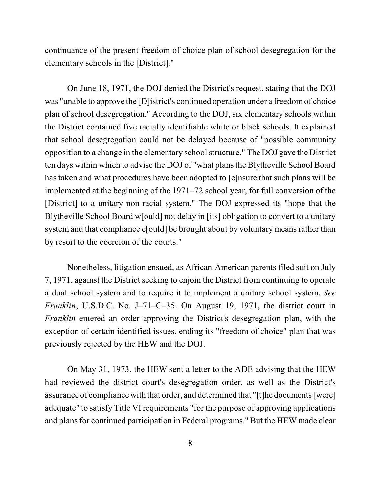continuance of the present freedom of choice plan of school desegregation for the elementary schools in the [District]."

On June 18, 1971, the DOJ denied the District's request, stating that the DOJ was "unable to approve the [D]istrict's continued operation under a freedomof choice plan of school desegregation." According to the DOJ, six elementary schools within the District contained five racially identifiable white or black schools. It explained that school desegregation could not be delayed because of "possible community opposition to a change in the elementary schoolstructure." The DOJ gave the District ten days within which to advise the DOJ of "what plans the Blytheville School Board has taken and what procedures have been adopted to [e]nsure that such plans will be implemented at the beginning of the 1971–72 school year, for full conversion of the [District] to a unitary non-racial system." The DOJ expressed its "hope that the Blytheville School Board w[ould] not delay in [its] obligation to convert to a unitary system and that compliance c[ould] be brought about by voluntary means rather than by resort to the coercion of the courts."

Nonetheless, litigation ensued, as African-American parents filed suit on July 7, 1971, against the District seeking to enjoin the District from continuing to operate a dual school system and to require it to implement a unitary school system. *See Franklin*, U.S.D.C. No. J–71–C–35. On August 19, 1971, the district court in *Franklin* entered an order approving the District's desegregation plan, with the exception of certain identified issues, ending its "freedom of choice" plan that was previously rejected by the HEW and the DOJ.

On May 31, 1973, the HEW sent a letter to the ADE advising that the HEW had reviewed the district court's desegregation order, as well as the District's assurance of compliance with that order, and determined that "[t]he documents [were] adequate" to satisfy Title VI requirements "for the purpose of approving applications and plans for continued participation in Federal programs." But the HEW made clear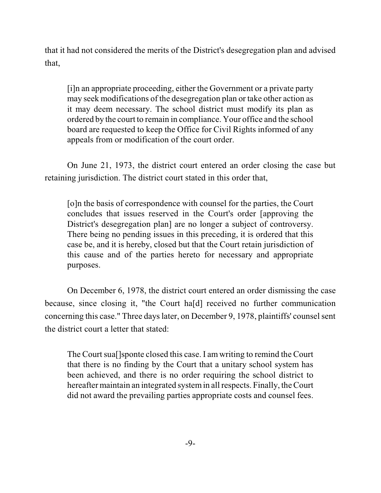that it had not considered the merits of the District's desegregation plan and advised that,

[i]n an appropriate proceeding, either the Government or a private party may seek modifications of the desegregation plan or take other action as it may deem necessary. The school district must modify its plan as ordered by the court to remain in compliance. Your office and the school board are requested to keep the Office for Civil Rights informed of any appeals from or modification of the court order.

On June 21, 1973, the district court entered an order closing the case but retaining jurisdiction. The district court stated in this order that,

[o]n the basis of correspondence with counsel for the parties, the Court concludes that issues reserved in the Court's order [approving the District's desegregation plan] are no longer a subject of controversy. There being no pending issues in this preceding, it is ordered that this case be, and it is hereby, closed but that the Court retain jurisdiction of this cause and of the parties hereto for necessary and appropriate purposes.

On December 6, 1978, the district court entered an order dismissing the case because, since closing it, "the Court ha[d] received no further communication concerning this case." Three days later, on December 9, 1978, plaintiffs' counsel sent the district court a letter that stated:

The Court sua[]sponte closed this case. I am writing to remind the Court that there is no finding by the Court that a unitary school system has been achieved, and there is no order requiring the school district to hereafter maintain an integrated systemin all respects. Finally, the Court did not award the prevailing parties appropriate costs and counsel fees.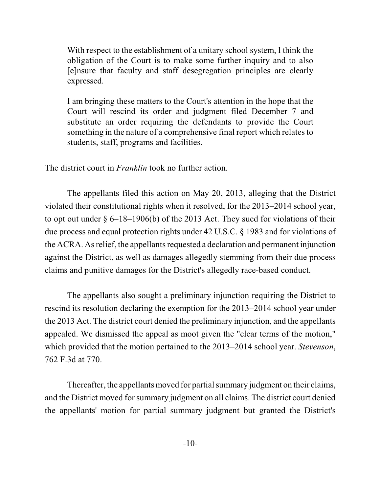With respect to the establishment of a unitary school system, I think the obligation of the Court is to make some further inquiry and to also [e]nsure that faculty and staff desegregation principles are clearly expressed.

I am bringing these matters to the Court's attention in the hope that the Court will rescind its order and judgment filed December 7 and substitute an order requiring the defendants to provide the Court something in the nature of a comprehensive final report which relates to students, staff, programs and facilities.

The district court in *Franklin* took no further action.

The appellants filed this action on May 20, 2013, alleging that the District violated their constitutional rights when it resolved, for the 2013–2014 school year, to opt out under  $\S 6$ –18–1906(b) of the 2013 Act. They sued for violations of their due process and equal protection rights under 42 U.S.C. § 1983 and for violations of the ACRA. As relief, the appellants requested a declaration and permanent injunction against the District, as well as damages allegedly stemming from their due process claims and punitive damages for the District's allegedly race-based conduct.

The appellants also sought a preliminary injunction requiring the District to rescind its resolution declaring the exemption for the 2013–2014 school year under the 2013 Act. The district court denied the preliminary injunction, and the appellants appealed. We dismissed the appeal as moot given the "clear terms of the motion," which provided that the motion pertained to the 2013–2014 school year. *Stevenson*, 762 F.3d at 770.

Thereafter, the appellants moved for partial summary judgment on their claims, and the District moved for summary judgment on all claims. The district court denied the appellants' motion for partial summary judgment but granted the District's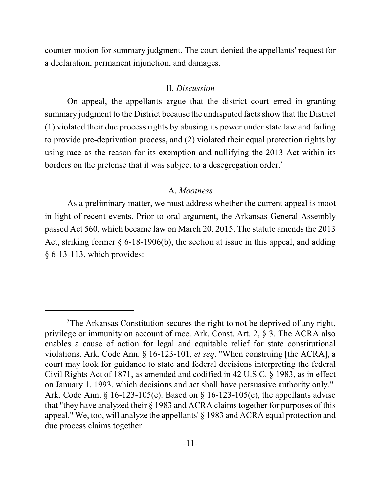counter-motion for summary judgment. The court denied the appellants' request for a declaration, permanent injunction, and damages.

#### II. *Discussion*

On appeal, the appellants argue that the district court erred in granting summary judgment to the District because the undisputed facts show that the District (1) violated their due process rights by abusing its power under state law and failing to provide pre-deprivation process, and (2) violated their equal protection rights by using race as the reason for its exemption and nullifying the 2013 Act within its borders on the pretense that it was subject to a desegregation order.<sup>5</sup>

#### A. *Mootness*

As a preliminary matter, we must address whether the current appeal is moot in light of recent events. Prior to oral argument, the Arkansas General Assembly passed Act 560, which became law on March 20, 2015. The statute amends the 2013 Act, striking former § 6-18-1906(b), the section at issue in this appeal, and adding § 6-13-113, which provides:

 $5$ The Arkansas Constitution secures the right to not be deprived of any right, privilege or immunity on account of race. Ark. Const. Art. 2, § 3. The ACRA also enables a cause of action for legal and equitable relief for state constitutional violations. Ark. Code Ann. § 16-123-101, *et seq*. "When construing [the ACRA], a court may look for guidance to state and federal decisions interpreting the federal Civil Rights Act of 1871, as amended and codified in 42 U.S.C. § 1983, as in effect on January 1, 1993, which decisions and act shall have persuasive authority only." Ark. Code Ann. § 16-123-105(c). Based on § 16-123-105(c), the appellants advise that "they have analyzed their § 1983 and ACRA claims together for purposes of this appeal." We, too, will analyze the appellants' § 1983 and ACRA equal protection and due process claims together.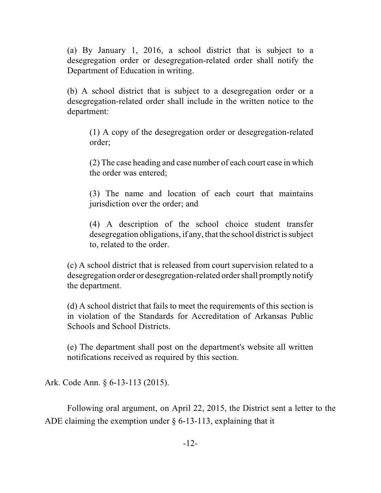(a) By January 1, 2016, a school district that is subject to a desegregation order or desegregation-related order shall notify the Department of Education in writing.

(b) A school district that is subject to a desegregation order or a desegregation-related order shall include in the written notice to the department:

(1) A copy of the desegregation order or desegregation-related order;

(2) The case heading and case number of each court case in which the order was entered;

(3) The name and location of each court that maintains jurisdiction over the order; and

(4) A description of the school choice student transfer desegregation obligations, if any, that the school district is subject to, related to the order.

(c) A school district that is released from court supervision related to a desegregation order or desegregation-related order shall promptly notify the department.

(d) A school district that fails to meet the requirements of this section is in violation of the Standards for Accreditation of Arkansas Public Schools and School Districts.

(e) The department shall post on the department's website all written notifications received as required by this section.

Ark. Code Ann. § 6-13-113 (2015).

Following oral argument, on April 22, 2015, the District sent a letter to the ADE claiming the exemption under  $\S$  6-13-113, explaining that it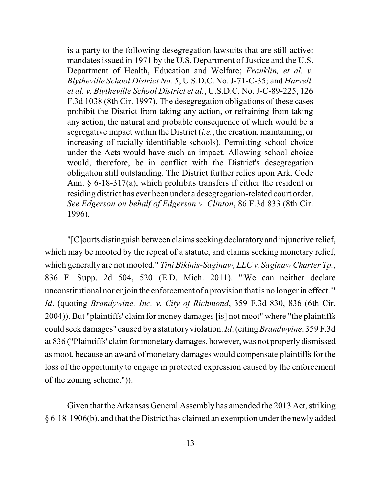is a party to the following desegregation lawsuits that are still active: mandates issued in 1971 by the U.S. Department of Justice and the U.S. Department of Health, Education and Welfare; *Franklin, et al. v. Blytheville School District No. 5*, U.S.D.C. No. J-71-C-35; and *Harvell, et al. v. Blytheville School District et al.*, U.S.D.C. No. J-C-89-225, 126 F.3d 1038 (8th Cir. 1997). The desegregation obligations of these cases prohibit the District from taking any action, or refraining from taking any action, the natural and probable consequence of which would be a segregative impact within the District (*i.e.*, the creation, maintaining, or increasing of racially identifiable schools). Permitting school choice under the Acts would have such an impact. Allowing school choice would, therefore, be in conflict with the District's desegregation obligation still outstanding. The District further relies upon Ark. Code Ann. § 6-18-317(a), which prohibits transfers if either the resident or residing district has ever been under a desegregation-related court order. *See Edgerson on behalf of Edgerson v. Clinton*, 86 F.3d 833 (8th Cir. 1996).

"[C]ourts distinguish between claims seeking declaratory and injunctive relief, which may be mooted by the repeal of a statute, and claims seeking monetary relief, which generally are not mooted." *Tini Bikinis-Saginaw, LLC v. Saginaw Charter Tp.*, 836 F. Supp. 2d 504, 520 (E.D. Mich. 2011). "'We can neither declare unconstitutional nor enjoin the enforcement of a provision that is no longer in effect.'" *Id*. (quoting *Brandywine, Inc. v. City of Richmond*, 359 F.3d 830, 836 (6th Cir. 2004)). But "plaintiffs' claim for money damages [is] not moot" where "the plaintiffs could seek damages" caused by a statutory violation. *Id*. (citing *Brandwyine*, 359 F.3d at 836 ("Plaintiffs' claim for monetary damages, however, was not properly dismissed as moot, because an award of monetary damages would compensate plaintiffs for the loss of the opportunity to engage in protected expression caused by the enforcement of the zoning scheme.")).

Given that the Arkansas General Assembly has amended the 2013 Act, striking § 6-18-1906(b), and that the District has claimed an exemption under the newly added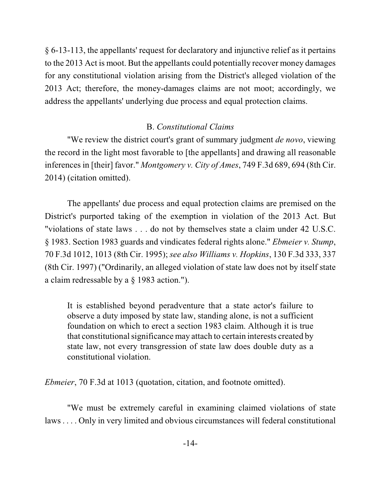§ 6-13-113, the appellants' request for declaratory and injunctive relief as it pertains to the 2013 Act is moot. But the appellants could potentially recover money damages for any constitutional violation arising from the District's alleged violation of the 2013 Act; therefore, the money-damages claims are not moot; accordingly, we address the appellants' underlying due process and equal protection claims.

## B. *Constitutional Claims*

"We review the district court's grant of summary judgment *de novo*, viewing the record in the light most favorable to [the appellants] and drawing all reasonable inferences in [their] favor." *Montgomery v. City of Ames*, 749 F.3d 689, 694 (8th Cir. 2014) (citation omitted).

The appellants' due process and equal protection claims are premised on the District's purported taking of the exemption in violation of the 2013 Act. But "violations of state laws . . . do not by themselves state a claim under 42 U.S.C. § 1983. Section 1983 guards and vindicates federal rights alone." *Ebmeier v. Stump*, 70 F.3d 1012, 1013 (8th Cir. 1995); *see also Williams v. Hopkins*, 130 F.3d 333, 337 (8th Cir. 1997) ("Ordinarily, an alleged violation of state law does not by itself state a claim redressable by a § 1983 action.").

It is established beyond peradventure that a state actor's failure to observe a duty imposed by state law, standing alone, is not a sufficient foundation on which to erect a section 1983 claim. Although it is true that constitutional significance may attach to certain interests created by state law, not every transgression of state law does double duty as a constitutional violation.

*Ebmeier*, 70 F.3d at 1013 (quotation, citation, and footnote omitted).

"We must be extremely careful in examining claimed violations of state laws . . . . Only in very limited and obvious circumstances will federal constitutional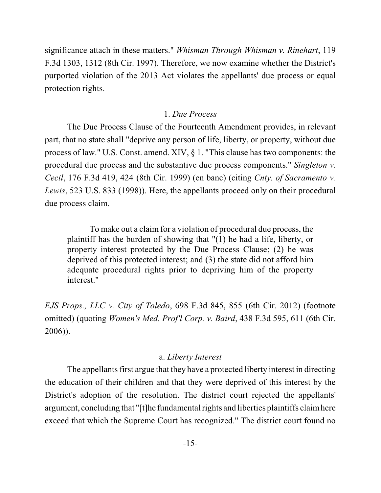significance attach in these matters." *Whisman Through Whisman v. Rinehart*, 119 F.3d 1303, 1312 (8th Cir. 1997). Therefore, we now examine whether the District's purported violation of the 2013 Act violates the appellants' due process or equal protection rights.

### 1. *Due Process*

The Due Process Clause of the Fourteenth Amendment provides, in relevant part, that no state shall "deprive any person of life, liberty, or property, without due process of law." U.S. Const. amend. XIV, § 1. "This clause has two components: the procedural due process and the substantive due process components." *Singleton v. Cecil*, 176 F.3d 419, 424 (8th Cir. 1999) (en banc) (citing *Cnty. of Sacramento v. Lewis*, 523 U.S. 833 (1998)). Here, the appellants proceed only on their procedural due process claim.

To make out a claim for a violation of procedural due process, the plaintiff has the burden of showing that "(1) he had a life, liberty, or property interest protected by the Due Process Clause; (2) he was deprived of this protected interest; and (3) the state did not afford him adequate procedural rights prior to depriving him of the property interest."

*EJS Props., LLC v. City of Toledo*, 698 F.3d 845, 855 (6th Cir. 2012) (footnote omitted) (quoting *Women's Med. Prof'l Corp. v. Baird*, 438 F.3d 595, 611 (6th Cir. 2006)).

## a. *Liberty Interest*

The appellants first argue that they have a protected liberty interest in directing the education of their children and that they were deprived of this interest by the District's adoption of the resolution. The district court rejected the appellants' argument, concluding that "[t]he fundamental rights and liberties plaintiffs claimhere exceed that which the Supreme Court has recognized." The district court found no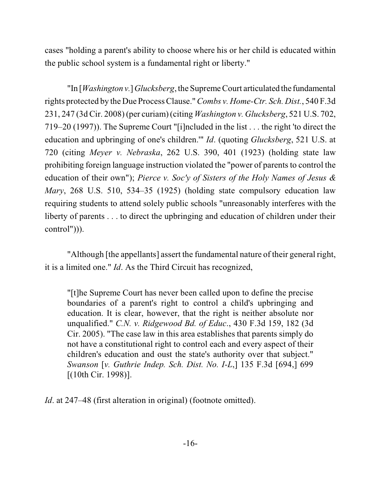cases "holding a parent's ability to choose where his or her child is educated within the public school system is a fundamental right or liberty."

"In [*Washington v.*]*Glucksberg*, the Supreme Court articulated the fundamental rights protected by the Due Process Clause." *Combs v. Home-Ctr. Sch. Dist.*, 540 F.3d 231, 247 (3d Cir. 2008) (per curiam) (citing *Washington v. Glucksberg*, 521 U.S. 702, 719–20 (1997)). The Supreme Court "[i]ncluded in the list . . . the right 'to direct the education and upbringing of one's children.'" *Id*. (quoting *Glucksberg*, 521 U.S. at 720 (citing *Meyer v. Nebraska*, 262 U.S. 390, 401 (1923) (holding state law prohibiting foreign language instruction violated the "power of parents to control the education of their own"); *Pierce v. Soc'y of Sisters of the Holy Names of Jesus & Mary*, 268 U.S. 510, 534–35 (1925) (holding state compulsory education law requiring students to attend solely public schools "unreasonably interferes with the liberty of parents . . . to direct the upbringing and education of children under their control"))).

"Although [the appellants] assert the fundamental nature of their general right, it is a limited one." *Id*. As the Third Circuit has recognized,

"[t]he Supreme Court has never been called upon to define the precise boundaries of a parent's right to control a child's upbringing and education. It is clear, however, that the right is neither absolute nor unqualified." *C.N. v. Ridgewood Bd. of Educ*., 430 F.3d 159, 182 (3d Cir. 2005). "The case law in this area establishes that parents simply do not have a constitutional right to control each and every aspect of their children's education and oust the state's authority over that subject." *Swanson* [*v. Guthrie Indep. Sch. Dist. No. I-L*,] 135 F.3d [694,] 699 [(10th Cir. 1998)].

*Id.* at 247–48 (first alteration in original) (footnote omitted).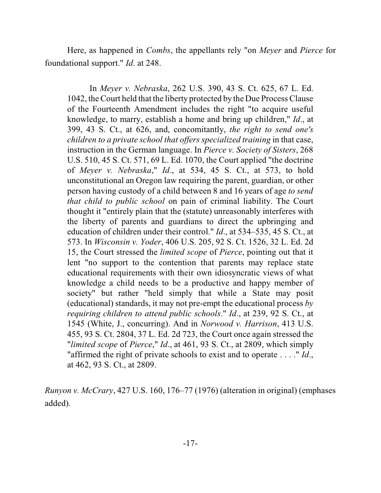Here, as happened in *Combs*, the appellants rely "on *Meyer* and *Pierce* for foundational support." *Id*. at 248.

In *Meyer v. Nebraska*, 262 U.S. 390, 43 S. Ct. 625, 67 L. Ed. 1042, the Court held that the liberty protected by the Due Process Clause of the Fourteenth Amendment includes the right "to acquire useful knowledge, to marry, establish a home and bring up children," *Id*., at 399, 43 S. Ct., at 626, and, concomitantly, *the right to send one's children to a private school that offers specialized training* in that case, instruction in the German language. In *Pierce v. Society of Sisters*, 268 U.S. 510, 45 S. Ct. 571, 69 L. Ed. 1070, the Court applied "the doctrine of *Meyer v. Nebraska*," *Id*., at 534, 45 S. Ct., at 573, to hold unconstitutional an Oregon law requiring the parent, guardian, or other person having custody of a child between 8 and 16 years of age *to send that child to public school* on pain of criminal liability. The Court thought it "entirely plain that the (statute) unreasonably interferes with the liberty of parents and guardians to direct the upbringing and education of children under their control." *Id*., at 534–535, 45 S. Ct., at 573. In *Wisconsin v. Yoder*, 406 U.S. 205, 92 S. Ct. 1526, 32 L. Ed. 2d 15, the Court stressed the *limited scope* of *Pierce*, pointing out that it lent "no support to the contention that parents may replace state educational requirements with their own idiosyncratic views of what knowledge a child needs to be a productive and happy member of society" but rather "held simply that while a State may posit (educational) standards, it may not pre-empt the educational process *by requiring children to attend public schools*." *Id*., at 239, 92 S. Ct., at 1545 (White, J., concurring). And in *Norwood v. Harrison*, 413 U.S. 455, 93 S. Ct. 2804, 37 L. Ed. 2d 723, the Court once again stressed the "*limited scope* of *Pierce*," *Id*., at 461, 93 S. Ct., at 2809, which simply "affirmed the right of private schools to exist and to operate . . . ." *Id*., at 462, 93 S. Ct., at 2809.

*Runyon v. McCrary*, 427 U.S. 160, 176–77 (1976) (alteration in original) (emphases added).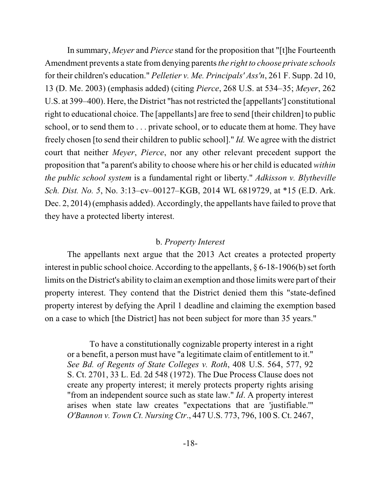In summary, *Meyer* and *Pierce* stand for the proposition that "[t]he Fourteenth Amendment prevents a state fromdenying parents*the right to choose private schools* for their children's education." *Pelletier v. Me. Principals' Ass'n*, 261 F. Supp. 2d 10, 13 (D. Me. 2003) (emphasis added) (citing *Pierce*, 268 U.S. at 534–35; *Meyer*, 262 U.S. at 399–400). Here, the District "has not restricted the [appellants'] constitutional right to educational choice. The [appellants] are free to send [their children] to public school, or to send them to . . . private school, or to educate them at home. They have freely chosen [to send their children to public school]." *Id.* We agree with the district court that neither *Meyer*, *Pierce*, nor any other relevant precedent support the proposition that "a parent's ability to choose where his or her child is educated *within the public school system* is a fundamental right or liberty." *Adkisson v. Blytheville Sch. Dist. No. 5*, No. 3:13–cv–00127–KGB, 2014 WL 6819729, at \*15 (E.D. Ark. Dec. 2, 2014) (emphasis added). Accordingly, the appellants have failed to prove that they have a protected liberty interest.

### b. *Property Interest*

The appellants next argue that the 2013 Act creates a protected property interest in public school choice. According to the appellants,  $\S 6$ -18-1906(b) set forth limits on the District's ability to claiman exemption and those limits were part of their property interest. They contend that the District denied them this "state-defined property interest by defying the April 1 deadline and claiming the exemption based on a case to which [the District] has not been subject for more than 35 years."

To have a constitutionally cognizable property interest in a right or a benefit, a person must have "a legitimate claim of entitlement to it." *See Bd. of Regents of State Colleges v. Roth*, 408 U.S. 564, 577, 92 S. Ct. 2701, 33 L. Ed. 2d 548 (1972). The Due Process Clause does not create any property interest; it merely protects property rights arising "from an independent source such as state law." *Id*. A property interest arises when state law creates "expectations that are 'justifiable.'" *O'Bannon v. Town Ct. Nursing Ctr*., 447 U.S. 773, 796, 100 S. Ct. 2467,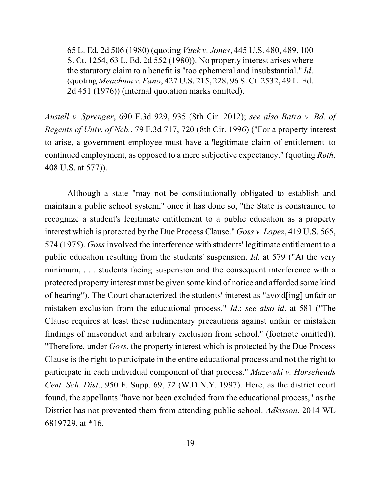65 L. Ed. 2d 506 (1980) (quoting *Vitek v. Jones*, 445 U.S. 480, 489, 100 S. Ct. 1254, 63 L. Ed. 2d 552 (1980)). No property interest arises where the statutory claim to a benefit is "too ephemeral and insubstantial." *Id*. (quoting *Meachum v. Fano*, 427 U.S. 215, 228, 96 S. Ct. 2532, 49 L. Ed. 2d 451 (1976)) (internal quotation marks omitted).

*Austell v. Sprenger*, 690 F.3d 929, 935 (8th Cir. 2012); *see also Batra v. Bd. of Regents of Univ. of Neb.*, 79 F.3d 717, 720 (8th Cir. 1996) ("For a property interest to arise, a government employee must have a 'legitimate claim of entitlement' to continued employment, as opposed to a mere subjective expectancy." (quoting *Roth*, 408 U.S. at 577)).

Although a state "may not be constitutionally obligated to establish and maintain a public school system," once it has done so, "the State is constrained to recognize a student's legitimate entitlement to a public education as a property interest which is protected by the Due Process Clause." *Goss v. Lopez*, 419 U.S. 565, 574 (1975). *Goss* involved the interference with students' legitimate entitlement to a public education resulting from the students' suspension. *Id*. at 579 ("At the very minimum, ... students facing suspension and the consequent interference with a protected property interest must be given some kind of notice and afforded some kind of hearing"). The Court characterized the students' interest as "avoid[ing] unfair or mistaken exclusion from the educational process." *Id*.; *see also id*. at 581 ("The Clause requires at least these rudimentary precautions against unfair or mistaken findings of misconduct and arbitrary exclusion from school." (footnote omitted)). "Therefore, under *Goss*, the property interest which is protected by the Due Process Clause is the right to participate in the entire educational process and not the right to participate in each individual component of that process." *Mazevski v. Horseheads Cent. Sch. Dist*., 950 F. Supp. 69, 72 (W.D.N.Y. 1997). Here, as the district court found, the appellants "have not been excluded from the educational process," as the District has not prevented them from attending public school. *Adkisson*, 2014 WL 6819729, at \*16.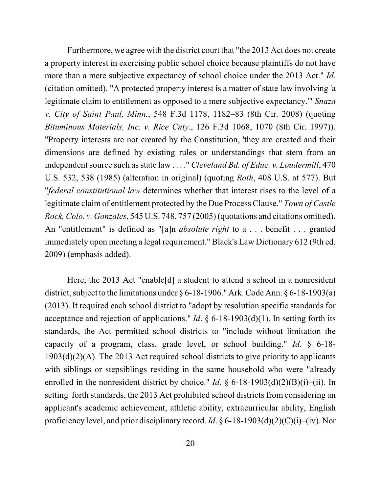Furthermore, we agree with the district court that "the 2013 Act does not create a property interest in exercising public school choice because plaintiffs do not have more than a mere subjective expectancy of school choice under the 2013 Act." *Id*. (citation omitted). "A protected property interest is a matter of state law involving 'a legitimate claim to entitlement as opposed to a mere subjective expectancy.'" *Snaza v. City of Saint Paul, Minn.*, 548 F.3d 1178, 1182–83 (8th Cir. 2008) (quoting *Bituminous Materials, Inc. v. Rice Cnty.*, 126 F.3d 1068, 1070 (8th Cir. 1997)). "Property interests are not created by the Constitution, 'they are created and their dimensions are defined by existing rules or understandings that stem from an independent source such asstate law . . . ." *Cleveland Bd. of Educ. v. Loudermill*, 470 U.S. 532, 538 (1985) (alteration in original) (quoting *Roth*, 408 U.S. at 577). But "*federal constitutional law* determines whether that interest rises to the level of a legitimate claim of entitlement protected by the Due Process Clause." *Town of Castle Rock, Colo. v. Gonzales*, 545 U.S. 748, 757 (2005)(quotations and citations omitted). An "entitlement" is defined as "[a]n *absolute right* to a . . . benefit . . . granted immediately upon meeting a legal requirement." Black's Law Dictionary 612 (9th ed. 2009) (emphasis added).

Here, the 2013 Act "enable[d] a student to attend a school in a nonresident district, subject to the limitations under § 6-18-1906." Ark. Code Ann. § 6-18-1903(a) (2013). It required each school district to "adopt by resolution specific standards for acceptance and rejection of applications." *Id*. § 6-18-1903(d)(1). In setting forth its standards, the Act permitted school districts to "include without limitation the capacity of a program, class, grade level, or school building." *Id*. § 6-18- 1903(d)(2)(A). The 2013 Act required school districts to give priority to applicants with siblings or stepsiblings residing in the same household who were "already enrolled in the nonresident district by choice." *Id*. § 6-18-1903(d)(2)(B)(i)–(ii). In setting forth standards, the 2013 Act prohibited school districts from considering an applicant's academic achievement, athletic ability, extracurricular ability, English proficiency level, and prior disciplinary record. *Id*. § 6-18-1903(d)(2)(C)(i)–(iv). Nor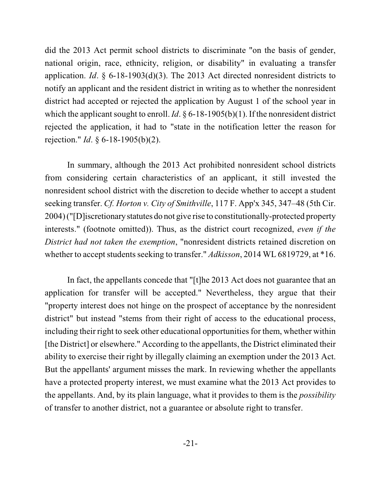did the 2013 Act permit school districts to discriminate "on the basis of gender, national origin, race, ethnicity, religion, or disability" in evaluating a transfer application. *Id*. § 6-18-1903(d)(3). The 2013 Act directed nonresident districts to notify an applicant and the resident district in writing as to whether the nonresident district had accepted or rejected the application by August 1 of the school year in which the applicant sought to enroll. *Id*. § 6-18-1905(b)(1). If the nonresident district rejected the application, it had to "state in the notification letter the reason for rejection." *Id*. § 6-18-1905(b)(2).

In summary, although the 2013 Act prohibited nonresident school districts from considering certain characteristics of an applicant, it still invested the nonresident school district with the discretion to decide whether to accept a student seeking transfer. *Cf. Horton v. City of Smithville*, 117 F. App'x 345, 347–48 (5th Cir. 2004) ("[D]iscretionarystatutes do not give rise to constitutionally-protected property interests." (footnote omitted)). Thus, as the district court recognized, *even if the District had not taken the exemption*, "nonresident districts retained discretion on whether to accept students seeking to transfer." *Adkisson*, 2014 WL 6819729, at \*16.

In fact, the appellants concede that "[t]he 2013 Act does not guarantee that an application for transfer will be accepted." Nevertheless, they argue that their "property interest does not hinge on the prospect of acceptance by the nonresident district" but instead "stems from their right of access to the educational process, including their right to seek other educational opportunities for them, whether within [the District] or elsewhere." According to the appellants, the District eliminated their ability to exercise their right by illegally claiming an exemption under the 2013 Act. But the appellants' argument misses the mark. In reviewing whether the appellants have a protected property interest, we must examine what the 2013 Act provides to the appellants. And, by its plain language, what it provides to them is the *possibility* of transfer to another district, not a guarantee or absolute right to transfer.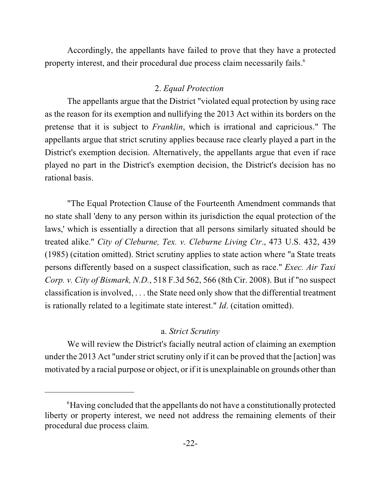Accordingly, the appellants have failed to prove that they have a protected property interest, and their procedural due process claim necessarily fails.<sup>6</sup>

## 2. *Equal Protection*

The appellants argue that the District "violated equal protection by using race as the reason for its exemption and nullifying the 2013 Act within its borders on the pretense that it is subject to *Franklin*, which is irrational and capricious." The appellants argue that strict scrutiny applies because race clearly played a part in the District's exemption decision. Alternatively, the appellants argue that even if race played no part in the District's exemption decision, the District's decision has no rational basis.

"The Equal Protection Clause of the Fourteenth Amendment commands that no state shall 'deny to any person within its jurisdiction the equal protection of the laws,' which is essentially a direction that all persons similarly situated should be treated alike." *City of Cleburne, Tex. v. Cleburne Living Ctr*., 473 U.S. 432, 439 (1985) (citation omitted). Strict scrutiny applies to state action where "a State treats persons differently based on a suspect classification, such as race." *Exec. Air Taxi Corp. v. City of Bismark, N.D.*, 518 F.3d 562, 566 (8th Cir. 2008). But if "no suspect classification is involved, . . . the State need only show that the differential treatment is rationally related to a legitimate state interest." *Id*. (citation omitted).

## a. *Strict Scrutiny*

We will review the District's facially neutral action of claiming an exemption under the 2013 Act "under strict scrutiny only if it can be proved that the [action] was motivated by a racial purpose or object, or if it is unexplainable on grounds other than

 ${}^{6}$ Having concluded that the appellants do not have a constitutionally protected liberty or property interest, we need not address the remaining elements of their procedural due process claim.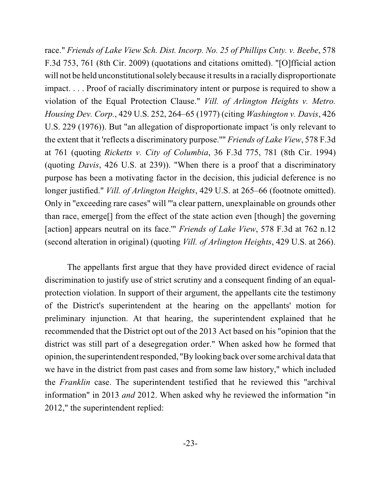race." *Friends of Lake View Sch. Dist. Incorp. No. 25 of Phillips Cnty. v. Beebe*, 578 F.3d 753, 761 (8th Cir. 2009) (quotations and citations omitted). "[O]fficial action will not be held unconstitutional solely because it results in a racially disproportionate impact. . . . Proof of racially discriminatory intent or purpose is required to show a violation of the Equal Protection Clause." *Vill. of Arlington Heights v. Metro. Housing Dev. Corp.*, 429 U.S. 252, 264–65 (1977) (citing *Washington v. Davis*, 426 U.S. 229 (1976)). But "an allegation of disproportionate impact 'is only relevant to the extent that it 'reflects a discriminatory purpose.''" *Friends of Lake View*, 578 F.3d at 761 (quoting *Ricketts v. City of Columbia*, 36 F.3d 775, 781 (8th Cir. 1994) (quoting *Davis*, 426 U.S. at 239)). "When there is a proof that a discriminatory purpose has been a motivating factor in the decision, this judicial deference is no longer justified." *Vill. of Arlington Heights*, 429 U.S. at 265–66 (footnote omitted). Only in "exceeding rare cases" will "'a clear pattern, unexplainable on grounds other than race, emerge[] from the effect of the state action even [though] the governing [action] appears neutral on its face.'" *Friends of Lake View*, 578 F.3d at 762 n.12 (second alteration in original) (quoting *Vill. of Arlington Heights*, 429 U.S. at 266).

The appellants first argue that they have provided direct evidence of racial discrimination to justify use of strict scrutiny and a consequent finding of an equalprotection violation. In support of their argument, the appellants cite the testimony of the District's superintendent at the hearing on the appellants' motion for preliminary injunction. At that hearing, the superintendent explained that he recommended that the District opt out of the 2013 Act based on his "opinion that the district was still part of a desegregation order." When asked how he formed that opinion, the superintendent responded, "By looking back over some archival data that we have in the district from past cases and from some law history," which included the *Franklin* case. The superintendent testified that he reviewed this "archival information" in 2013 *and* 2012. When asked why he reviewed the information "in 2012," the superintendent replied: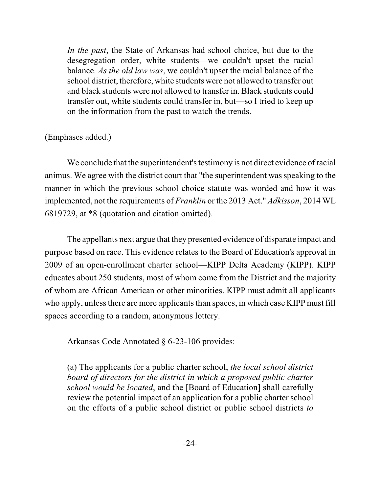*In the past*, the State of Arkansas had school choice, but due to the desegregation order, white students—we couldn't upset the racial balance. *As the old law was*, we couldn't upset the racial balance of the school district, therefore, white students were not allowed to transfer out and black students were not allowed to transfer in. Black students could transfer out, white students could transfer in, but—so I tried to keep up on the information from the past to watch the trends.

## (Emphases added.)

We conclude that the superintendent's testimony is not direct evidence of racial animus. We agree with the district court that "the superintendent wasspeaking to the manner in which the previous school choice statute was worded and how it was implemented, not the requirements of *Franklin* or the 2013 Act." *Adkisson*, 2014 WL 6819729, at \*8 (quotation and citation omitted).

The appellants next argue that they presented evidence of disparate impact and purpose based on race. This evidence relates to the Board of Education's approval in 2009 of an open-enrollment charter school—KIPP Delta Academy (KIPP). KIPP educates about 250 students, most of whom come from the District and the majority of whom are African American or other minorities. KIPP must admit all applicants who apply, unless there are more applicants than spaces, in which case KIPP must fill spaces according to a random, anonymous lottery.

Arkansas Code Annotated § 6-23-106 provides:

(a) The applicants for a public charter school, *the local school district board of directors for the district in which a proposed public charter school would be located*, and the [Board of Education] shall carefully review the potential impact of an application for a public charter school on the efforts of a public school district or public school districts *to*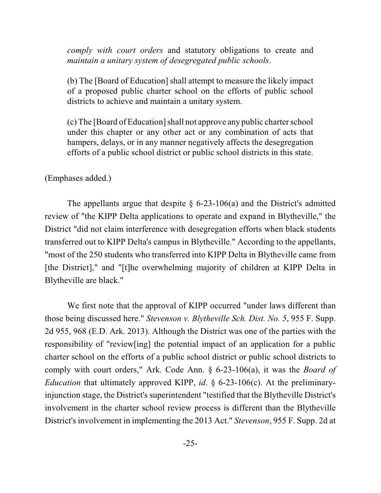*comply with court orders* and statutory obligations to create and *maintain a unitary system of desegregated public schools*.

(b) The [Board of Education] shall attempt to measure the likely impact of a proposed public charter school on the efforts of public school districts to achieve and maintain a unitary system.

(c) The [Board of Education] shall not approve any public charter school under this chapter or any other act or any combination of acts that hampers, delays, or in any manner negatively affects the desegregation efforts of a public school district or public school districts in this state.

#### (Emphases added.)

The appellants argue that despite  $\S$  6-23-106(a) and the District's admitted review of "the KIPP Delta applications to operate and expand in Blytheville," the District "did not claim interference with desegregation efforts when black students transferred out to KIPP Delta's campus in Blytheville." According to the appellants, "most of the 250 students who transferred into KIPP Delta in Blytheville came from [the District]," and "[t]he overwhelming majority of children at KIPP Delta in Blytheville are black."

We first note that the approval of KIPP occurred "under laws different than those being discussed here." *Stevenson v. Blytheville Sch. Dist. No. 5*, 955 F. Supp. 2d 955, 968 (E.D. Ark. 2013). Although the District was one of the parties with the responsibility of "review[ing] the potential impact of an application for a public charter school on the efforts of a public school district or public school districts to comply with court orders," Ark. Code Ann. § 6-23-106(a), it was the *Board of Education* that ultimately approved KIPP, *id*. § 6-23-106(c). At the preliminaryinjunction stage, the District's superintendent "testified that the Blytheville District's involvement in the charter school review process is different than the Blytheville District's involvement in implementing the 2013 Act." *Stevenson*, 955 F. Supp. 2d at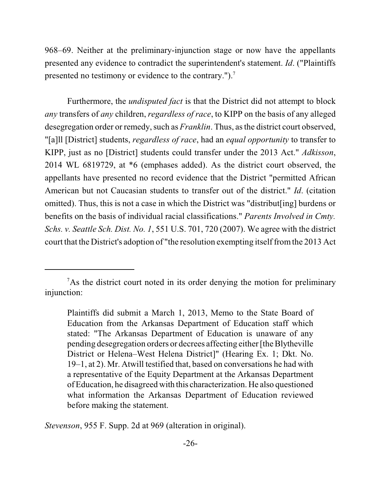968–69. Neither at the preliminary-injunction stage or now have the appellants presented any evidence to contradict the superintendent's statement. *Id*. ("Plaintiffs presented no testimony or evidence to the contrary.").<sup>7</sup>

Furthermore, the *undisputed fact* is that the District did not attempt to block *any* transfers of *any* children, *regardless of race*, to KIPP on the basis of any alleged desegregation order or remedy, such as *Franklin*. Thus, as the district court observed, "[a]ll [District] students, *regardless of race*, had an *equal opportunity* to transfer to KIPP, just as no [District] students could transfer under the 2013 Act." *Adkisson*, 2014 WL 6819729, at \*6 (emphases added). As the district court observed, the appellants have presented no record evidence that the District "permitted African American but not Caucasian students to transfer out of the district." *Id*. (citation omitted). Thus, this is not a case in which the District was "distribut[ing] burdens or benefits on the basis of individual racial classifications." *Parents Involved in Cmty. Schs. v. Seattle Sch. Dist. No. 1*, 551 U.S. 701, 720 (2007). We agree with the district court that the District's adoption of "the resolution exempting itself fromthe 2013 Act

*Stevenson*, 955 F. Supp. 2d at 969 (alteration in original).

<sup>&</sup>lt;sup>7</sup>As the district court noted in its order denying the motion for preliminary injunction:

Plaintiffs did submit a March 1, 2013, Memo to the State Board of Education from the Arkansas Department of Education staff which stated: "The Arkansas Department of Education is unaware of any pending desegregation orders or decrees affecting either [the Blytheville District or Helena–West Helena District]" (Hearing Ex. 1; Dkt. No. 19–1, at 2). Mr. Atwill testified that, based on conversations he had with a representative of the Equity Department at the Arkansas Department of Education, he disagreed with this characterization. He also questioned what information the Arkansas Department of Education reviewed before making the statement.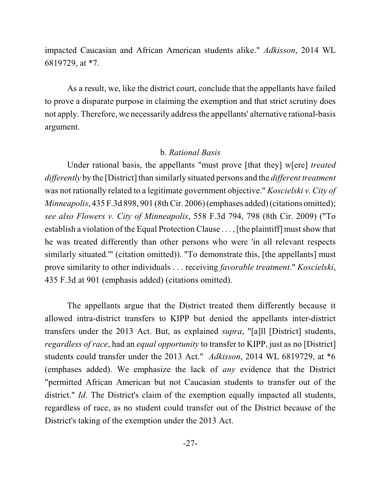impacted Caucasian and African American students alike." *Adkisson*, 2014 WL 6819729, at \*7.

As a result, we, like the district court, conclude that the appellants have failed to prove a disparate purpose in claiming the exemption and that strict scrutiny does not apply. Therefore, we necessarily address the appellants' alternative rational-basis argument.

#### b. *Rational Basis*

Under rational basis, the appellants "must prove [that they] w[ere] *treated differently* by the [District] than similarly situated persons and the *different treatment* was not rationally related to a legitimate government objective." *Koscielski v. City of Minneapolis*,  $435$  F.3d 898, 901 (8th Cir. 2006) (emphases added) (citations omitted); *see also Flowers v. City of Minneapolis*, 558 F.3d 794, 798 (8th Cir. 2009) ("To establish a violation of the Equal Protection Clause . . . , [the plaintiff] must show that he was treated differently than other persons who were 'in all relevant respects similarly situated." (citation omitted)). "To demonstrate this, [the appellants] must prove similarity to other individuals . . . receiving *favorable treatment*." *Koscielski*, 435 F.3d at 901 (emphasis added) (citations omitted).

The appellants argue that the District treated them differently because it allowed intra-district transfers to KIPP but denied the appellants inter-district transfers under the 2013 Act. But, as explained *supra*, "[a]ll [District] students, *regardless of race*, had an *equal opportunity* to transfer to KIPP, just as no [District] students could transfer under the 2013 Act." *Adkisson*, 2014 WL 6819729, at \*6 (emphases added). We emphasize the lack of *any* evidence that the District "permitted African American but not Caucasian students to transfer out of the district." *Id*. The District's claim of the exemption equally impacted all students, regardless of race, as no student could transfer out of the District because of the District's taking of the exemption under the 2013 Act.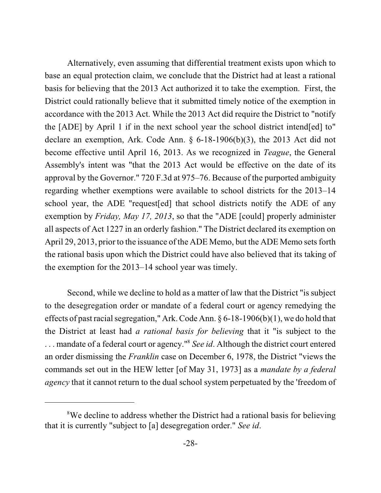Alternatively, even assuming that differential treatment exists upon which to base an equal protection claim, we conclude that the District had at least a rational basis for believing that the 2013 Act authorized it to take the exemption. First, the District could rationally believe that it submitted timely notice of the exemption in accordance with the 2013 Act. While the 2013 Act did require the District to "notify the [ADE] by April 1 if in the next school year the school district intend[ed] to" declare an exemption, Ark. Code Ann. § 6-18-1906(b)(3), the 2013 Act did not become effective until April 16, 2013. As we recognized in *Teague*, the General Assembly's intent was "that the 2013 Act would be effective on the date of its approval by the Governor." 720 F.3d at 975–76. Because of the purported ambiguity regarding whether exemptions were available to school districts for the 2013–14 school year, the ADE "request[ed] that school districts notify the ADE of any exemption by *Friday, May 17, 2013*, so that the "ADE [could] properly administer all aspects of Act 1227 in an orderly fashion." The District declared its exemption on April 29, 2013, prior to the issuance of the ADE Memo, but the ADE Memo sets forth the rational basis upon which the District could have also believed that its taking of the exemption for the 2013–14 school year was timely.

Second, while we decline to hold as a matter of law that the District "is subject to the desegregation order or mandate of a federal court or agency remedying the effects of past racial segregation," Ark. Code Ann.  $\S 6$ -18-1906(b)(1), we do hold that the District at least had *a rational basis for believing* that it "is subject to the ... mandate of a federal court or agency."<sup>8</sup> See id. Although the district court entered an order dismissing the *Franklin* case on December 6, 1978, the District "views the commands set out in the HEW letter [of May 31, 1973] as a *mandate by a federal agency* that it cannot return to the dual school system perpetuated by the 'freedom of

<sup>&</sup>lt;sup>8</sup>We decline to address whether the District had a rational basis for believing that it is currently "subject to [a] desegregation order." *See id*.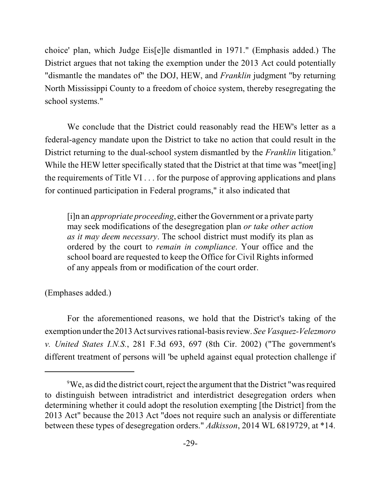choice' plan, which Judge Eis[e]le dismantled in 1971." (Emphasis added.) The District argues that not taking the exemption under the 2013 Act could potentially "dismantle the mandates of" the DOJ, HEW, and *Franklin* judgment "by returning North Mississippi County to a freedom of choice system, thereby resegregating the school systems."

We conclude that the District could reasonably read the HEW's letter as a federal-agency mandate upon the District to take no action that could result in the District returning to the dual-school system dismantled by the *Franklin* litigation.<sup>9</sup> While the HEW letter specifically stated that the District at that time was "meet[ing] the requirements of Title VI . . . for the purpose of approving applications and plans for continued participation in Federal programs," it also indicated that

[i]n an *appropriate proceeding*, either the Government or a private party may seek modifications of the desegregation plan *or take other action as it may deem necessary*. The school district must modify its plan as ordered by the court to *remain in compliance*. Your office and the school board are requested to keep the Office for Civil Rights informed of any appeals from or modification of the court order.

(Emphases added.)

For the aforementioned reasons, we hold that the District's taking of the exemption under the 2013Actsurvives rational-basisreview. *See Vasquez-Velezmoro v. United States I.N.S.*, 281 F.3d 693, 697 (8th Cir. 2002) ("The government's different treatment of persons will 'be upheld against equal protection challenge if

 $\rm{PWE}$ , as did the district court, reject the argument that the District "was required to distinguish between intradistrict and interdistrict desegregation orders when determining whether it could adopt the resolution exempting [the District] from the 2013 Act" because the 2013 Act "does not require such an analysis or differentiate between these types of desegregation orders." *Adkisson*, 2014 WL 6819729, at \*14.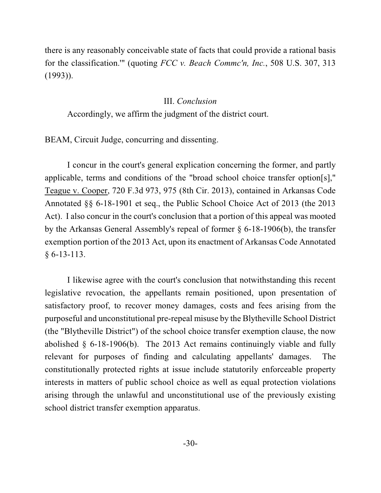there is any reasonably conceivable state of facts that could provide a rational basis for the classification.'" (quoting *FCC v. Beach Commc'n, Inc.*, 508 U.S. 307, 313 (1993)).

#### III. *Conclusion*

Accordingly, we affirm the judgment of the district court.

BEAM, Circuit Judge, concurring and dissenting.

I concur in the court's general explication concerning the former, and partly applicable, terms and conditions of the "broad school choice transfer option[s]," Teague v. Cooper, 720 F.3d 973, 975 (8th Cir. 2013), contained in Arkansas Code Annotated §§ 6-18-1901 et seq., the Public School Choice Act of 2013 (the 2013 Act). I also concur in the court's conclusion that a portion of this appeal was mooted by the Arkansas General Assembly's repeal of former § 6-18-1906(b), the transfer exemption portion of the 2013 Act, upon its enactment of Arkansas Code Annotated § 6-13-113.

I likewise agree with the court's conclusion that notwithstanding this recent legislative revocation, the appellants remain positioned, upon presentation of satisfactory proof, to recover money damages, costs and fees arising from the purposeful and unconstitutional pre-repeal misuse by the Blytheville School District (the "Blytheville District") of the school choice transfer exemption clause, the now abolished § 6-18-1906(b). The 2013 Act remains continuingly viable and fully relevant for purposes of finding and calculating appellants' damages. The constitutionally protected rights at issue include statutorily enforceable property interests in matters of public school choice as well as equal protection violations arising through the unlawful and unconstitutional use of the previously existing school district transfer exemption apparatus.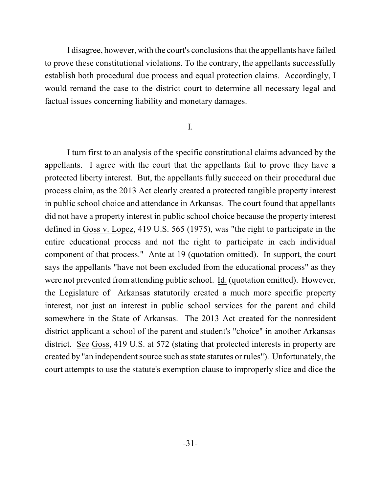I disagree, however, with the court's conclusions that the appellants have failed to prove these constitutional violations. To the contrary, the appellants successfully establish both procedural due process and equal protection claims. Accordingly, I would remand the case to the district court to determine all necessary legal and factual issues concerning liability and monetary damages.

### I.

I turn first to an analysis of the specific constitutional claims advanced by the appellants. I agree with the court that the appellants fail to prove they have a protected liberty interest. But, the appellants fully succeed on their procedural due process claim, as the 2013 Act clearly created a protected tangible property interest in public school choice and attendance in Arkansas. The court found that appellants did not have a property interest in public school choice because the property interest defined in Goss v. Lopez, 419 U.S. 565 (1975), was "the right to participate in the entire educational process and not the right to participate in each individual component of that process." Ante at 19 (quotation omitted). In support, the court says the appellants "have not been excluded from the educational process" as they were not prevented from attending public school. Id. (quotation omitted). However, the Legislature of Arkansas statutorily created a much more specific property interest, not just an interest in public school services for the parent and child somewhere in the State of Arkansas. The 2013 Act created for the nonresident district applicant a school of the parent and student's "choice" in another Arkansas district. See Goss, 419 U.S. at 572 (stating that protected interests in property are created by "an independent source such asstate statutes or rules"). Unfortunately, the court attempts to use the statute's exemption clause to improperly slice and dice the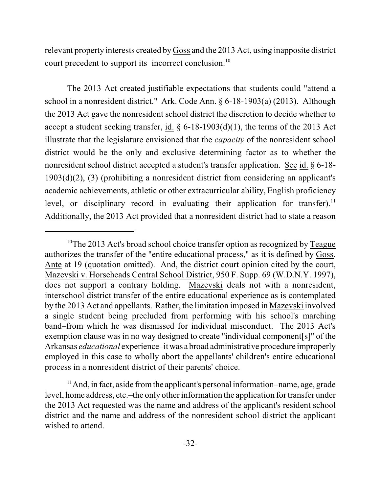relevant property interests created by Goss and the 2013 Act, using inapposite district court precedent to support its incorrect conclusion.<sup>10</sup>

The 2013 Act created justifiable expectations that students could "attend a school in a nonresident district." Ark. Code Ann. § 6-18-1903(a) (2013). Although the 2013 Act gave the nonresident school district the discretion to decide whether to accept a student seeking transfer, id.  $\S 6$ -18-1903(d)(1), the terms of the 2013 Act illustrate that the legislature envisioned that the *capacity* of the nonresident school district would be the only and exclusive determining factor as to whether the nonresident school district accepted a student's transfer application. See id. § 6-18- 1903(d)(2), (3) (prohibiting a nonresident district from considering an applicant's academic achievements, athletic or other extracurricular ability, English proficiency level, or disciplinary record in evaluating their application for transfer).<sup>11</sup> Additionally, the 2013 Act provided that a nonresident district had to state a reason

<sup>&</sup>lt;sup>10</sup>The 2013 Act's broad school choice transfer option as recognized by Teague authorizes the transfer of the "entire educational process," as it is defined by Goss. Ante at 19 (quotation omitted). And, the district court opinion cited by the court, Mazevski v. Horseheads Central School District, 950 F. Supp. 69 (W.D.N.Y. 1997), does not support a contrary holding. Mazevski deals not with a nonresident, interschool district transfer of the entire educational experience as is contemplated by the 2013 Act and appellants. Rather, the limitation imposed in Mazevski involved a single student being precluded from performing with his school's marching band–from which he was dismissed for individual misconduct. The 2013 Act's exemption clause was in no way designed to create "individual component[s]" of the Arkansas *educational* experience–it was a broad administrative procedure improperly employed in this case to wholly abort the appellants' children's entire educational process in a nonresident district of their parents' choice.

<sup>&</sup>lt;sup>11</sup> And, in fact, aside from the applicant's personal information–name, age, grade level, home address, etc.–the only other information the application for transfer under the 2013 Act requested was the name and address of the applicant's resident school district and the name and address of the nonresident school district the applicant wished to attend.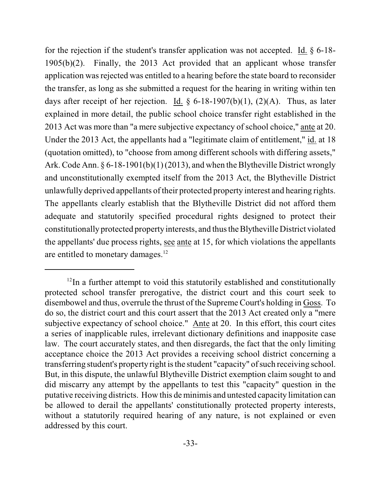for the rejection if the student's transfer application was not accepted. Id. § 6-18- 1905(b)(2). Finally, the 2013 Act provided that an applicant whose transfer application was rejected was entitled to a hearing before the state board to reconsider the transfer, as long as she submitted a request for the hearing in writing within ten days after receipt of her rejection. Id.  $\S$  6-18-1907(b)(1), (2)(A). Thus, as later explained in more detail, the public school choice transfer right established in the 2013 Act was more than "a mere subjective expectancy of school choice," ante at 20. Under the 2013 Act, the appellants had a "legitimate claim of entitlement," id. at 18 (quotation omitted), to "choose from among different schools with differing assets," Ark. Code Ann. § 6-18-1901(b)(1) (2013), and when the Blytheville District wrongly and unconstitutionally exempted itself from the 2013 Act, the Blytheville District unlawfully deprived appellants of their protected property interest and hearing rights. The appellants clearly establish that the Blytheville District did not afford them adequate and statutorily specified procedural rights designed to protect their constitutionally protected property interests, and thus theBlytheville District violated the appellants' due process rights, see ante at 15, for which violations the appellants are entitled to monetary damages.<sup>12</sup>

 $12$ In a further attempt to void this statutorily established and constitutionally protected school transfer prerogative, the district court and this court seek to disembowel and thus, overrule the thrust of the Supreme Court's holding in Goss. To do so, the district court and this court assert that the 2013 Act created only a "mere subjective expectancy of school choice." Ante at 20. In this effort, this court cites a series of inapplicable rules, irrelevant dictionary definitions and inapposite case law. The court accurately states, and then disregards, the fact that the only limiting acceptance choice the 2013 Act provides a receiving school district concerning a transferring student's property right is the student "capacity" of such receiving school. But, in this dispute, the unlawful Blytheville District exemption claim sought to and did miscarry any attempt by the appellants to test this "capacity" question in the putative receiving districts. How this de minimis and untested capacity limitation can be allowed to derail the appellants' constitutionally protected property interests, without a statutorily required hearing of any nature, is not explained or even addressed by this court.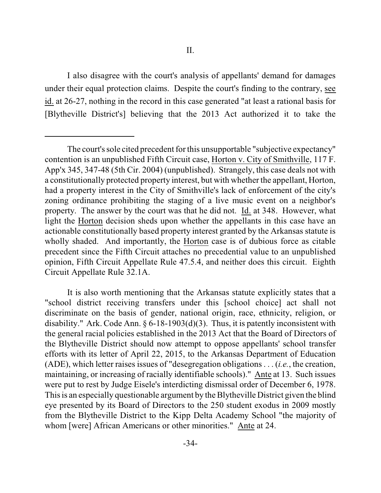I also disagree with the court's analysis of appellants' demand for damages under their equal protection claims. Despite the court's finding to the contrary, see id. at 26-27, nothing in the record in this case generated "at least a rational basis for [Blytheville District's] believing that the 2013 Act authorized it to take the

The court's sole cited precedent for this unsupportable "subjective expectancy" contention is an unpublished Fifth Circuit case, Horton v. City of Smithville, 117 F. App'x 345, 347-48 (5th Cir. 2004) (unpublished). Strangely, this case deals not with a constitutionally protected property interest, but with whether the appellant, Horton, had a property interest in the City of Smithville's lack of enforcement of the city's zoning ordinance prohibiting the staging of a live music event on a neighbor's property. The answer by the court was that he did not. Id. at 348. However, what light the Horton decision sheds upon whether the appellants in this case have an actionable constitutionally based property interest granted by the Arkansas statute is wholly shaded. And importantly, the Horton case is of dubious force as citable precedent since the Fifth Circuit attaches no precedential value to an unpublished opinion, Fifth Circuit Appellate Rule 47.5.4, and neither does this circuit. Eighth Circuit Appellate Rule 32.1A.

It is also worth mentioning that the Arkansas statute explicitly states that a "school district receiving transfers under this [school choice] act shall not discriminate on the basis of gender, national origin, race, ethnicity, religion, or disability." Ark. Code Ann.  $\S 6$ -18-1903(d)(3). Thus, it is patently inconsistent with the general racial policies established in the 2013 Act that the Board of Directors of the Blytheville District should now attempt to oppose appellants' school transfer efforts with its letter of April 22, 2015, to the Arkansas Department of Education (ADE), which letter raises issues of "desegregation obligations . . . (*i.e.*, the creation, maintaining, or increasing of racially identifiable schools)." Ante at 13. Such issues were put to rest by Judge Eisele's interdicting dismissal order of December 6, 1978. This is an especially questionable argument by the Blytheville District given the blind eye presented by its Board of Directors to the 250 student exodus in 2009 mostly from the Blytheville District to the Kipp Delta Academy School "the majority of whom [were] African Americans or other minorities." Ante at 24.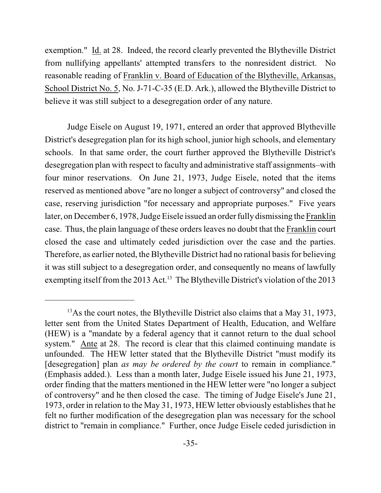exemption." Id. at 28. Indeed, the record clearly prevented the Blytheville District from nullifying appellants' attempted transfers to the nonresident district. No reasonable reading of Franklin v. Board of Education of the Blytheville, Arkansas, School District No. 5, No. J-71-C-35 (E.D. Ark.), allowed the Blytheville District to believe it was still subject to a desegregation order of any nature.

Judge Eisele on August 19, 1971, entered an order that approved Blytheville District's desegregation plan for its high school, junior high schools, and elementary schools. In that same order, the court further approved the Blytheville District's desegregation plan with respect to faculty and administrative staff assignments–with four minor reservations. On June 21, 1973, Judge Eisele, noted that the items reserved as mentioned above "are no longer a subject of controversy" and closed the case, reserving jurisdiction "for necessary and appropriate purposes." Five years later, on December 6, 1978, Judge Eisele issued an order fully dismissing the Franklin case. Thus, the plain language of these ordersleaves no doubt that the Franklin court closed the case and ultimately ceded jurisdiction over the case and the parties. Therefore, as earlier noted, the Blytheville District had no rational basis for believing it was still subject to a desegregation order, and consequently no means of lawfully exempting itself from the 2013 Act.<sup>13</sup> The Blytheville District's violation of the 2013

 $^{13}$ As the court notes, the Blytheville District also claims that a May 31, 1973, letter sent from the United States Department of Health, Education, and Welfare (HEW) is a "mandate by a federal agency that it cannot return to the dual school system." Ante at 28. The record is clear that this claimed continuing mandate is unfounded. The HEW letter stated that the Blytheville District "must modify its [desegregation] plan *as may be ordered by the court* to remain in compliance." (Emphasis added.). Less than a month later, Judge Eisele issued his June 21, 1973, order finding that the matters mentioned in the HEW letter were "no longer a subject of controversy" and he then closed the case. The timing of Judge Eisele's June 21, 1973, order in relation to the May 31, 1973, HEW letter obviously establishes that he felt no further modification of the desegregation plan was necessary for the school district to "remain in compliance." Further, once Judge Eisele ceded jurisdiction in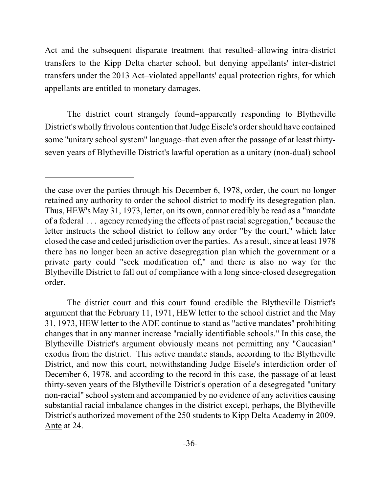Act and the subsequent disparate treatment that resulted–allowing intra-district transfers to the Kipp Delta charter school, but denying appellants' inter-district transfers under the 2013 Act–violated appellants' equal protection rights, for which appellants are entitled to monetary damages.

The district court strangely found–apparently responding to Blytheville District's wholly frivolous contention that Judge Eisele's order should have contained some "unitary school system" language–that even after the passage of at least thirtyseven years of Blytheville District's lawful operation as a unitary (non-dual) school

The district court and this court found credible the Blytheville District's argument that the February 11, 1971, HEW letter to the school district and the May 31, 1973, HEW letter to the ADE continue to stand as "active mandates" prohibiting changes that in any manner increase "racially identifiable schools." In this case, the Blytheville District's argument obviously means not permitting any "Caucasian" exodus from the district. This active mandate stands, according to the Blytheville District, and now this court, notwithstanding Judge Eisele's interdiction order of December 6, 1978, and according to the record in this case, the passage of at least thirty-seven years of the Blytheville District's operation of a desegregated "unitary non-racial" school system and accompanied by no evidence of any activities causing substantial racial imbalance changes in the district except, perhaps, the Blytheville District's authorized movement of the 250 students to Kipp Delta Academy in 2009. Ante at 24.

the case over the parties through his December 6, 1978, order, the court no longer retained any authority to order the school district to modify its desegregation plan. Thus, HEW's May 31, 1973, letter, on its own, cannot credibly be read as a "mandate of a federal . . . agency remedying the effects of past racialsegregation," because the letter instructs the school district to follow any order "by the court," which later closed the case and ceded jurisdiction over the parties. As a result, since at least 1978 there has no longer been an active desegregation plan which the government or a private party could "seek modification of," and there is also no way for the Blytheville District to fall out of compliance with a long since-closed desegregation order.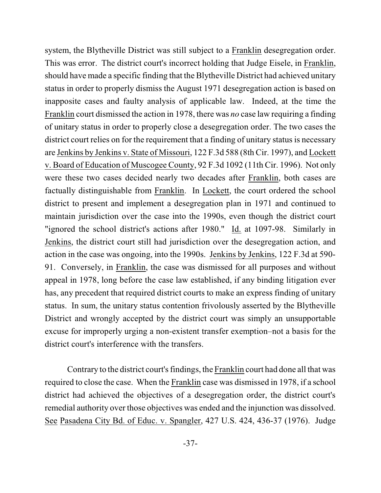system, the Blytheville District was still subject to a Franklin desegregation order. This was error. The district court's incorrect holding that Judge Eisele, in Franklin, should have made a specific finding that the Blytheville District had achieved unitary status in order to properly dismiss the August 1971 desegregation action is based on inapposite cases and faulty analysis of applicable law. Indeed, at the time the Franklin court dismissed the action in 1978, there was *no* case law requiring a finding of unitary status in order to properly close a desegregation order. The two cases the district court relies on for the requirement that a finding of unitary status is necessary are Jenkins by Jenkins v. State of Missouri, 122 F.3d 588 (8th Cir. 1997), and Lockett v. Board of Education of Muscogee County, 92 F.3d 1092 (11th Cir. 1996). Not only were these two cases decided nearly two decades after Franklin, both cases are factually distinguishable from Franklin. In Lockett, the court ordered the school district to present and implement a desegregation plan in 1971 and continued to maintain jurisdiction over the case into the 1990s, even though the district court "ignored the school district's actions after 1980." Id. at 1097-98. Similarly in Jenkins, the district court still had jurisdiction over the desegregation action, and action in the case was ongoing, into the 1990s. Jenkins by Jenkins, 122 F.3d at 590- 91. Conversely, in Franklin, the case was dismissed for all purposes and without appeal in 1978, long before the case law established, if any binding litigation ever has, any precedent that required district courts to make an express finding of unitary status. In sum, the unitary status contention frivolously asserted by the Blytheville District and wrongly accepted by the district court was simply an unsupportable excuse for improperly urging a non-existent transfer exemption–not a basis for the district court's interference with the transfers.

Contrary to the district court's findings, the Franklin court had done all that was required to close the case. When the Franklin case was dismissed in 1978, if a school district had achieved the objectives of a desegregation order, the district court's remedial authority over those objectives was ended and the injunction was dissolved. See Pasadena City Bd. of Educ. v. Spangler, 427 U.S. 424, 436-37 (1976). Judge